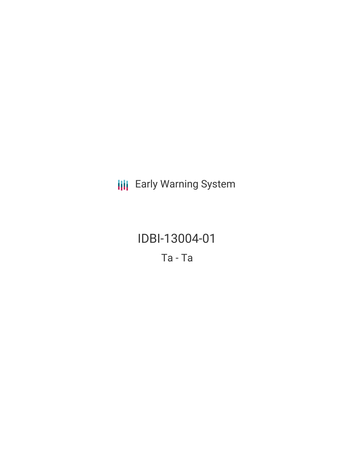**III** Early Warning System

IDBI-13004-01 Ta - Ta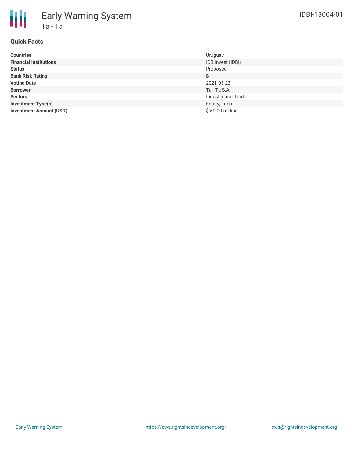

# Early Warning System Ta - Ta

## **Quick Facts**

| <b>Countries</b>               | Uruguay            |
|--------------------------------|--------------------|
| <b>Financial Institutions</b>  | IDB Invest (IDBI)  |
| <b>Status</b>                  | Proposed           |
| <b>Bank Risk Rating</b>        | B                  |
| <b>Voting Date</b>             | 2021-03-22         |
| <b>Borrower</b>                | Ta - Ta S.A.       |
| <b>Sectors</b>                 | Industry and Trade |
| <b>Investment Type(s)</b>      | Equity, Loan       |
| <b>Investment Amount (USD)</b> | \$50.00 million    |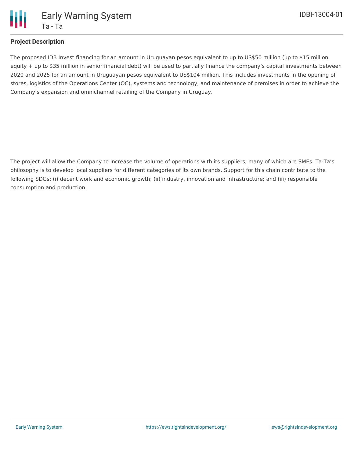

## **Project Description**

The proposed IDB Invest financing for an amount in Uruguayan pesos equivalent to up to US\$50 million (up to \$15 million equity + up to \$35 million in senior financial debt) will be used to partially finance the company's capital investments between 2020 and 2025 for an amount in Uruguayan pesos equivalent to US\$104 million. This includes investments in the opening of stores, logistics of the Operations Center (OC), systems and technology, and maintenance of premises in order to achieve the Company's expansion and omnichannel retailing of the Company in Uruguay.

The project will allow the Company to increase the volume of operations with its suppliers, many of which are SMEs. Ta-Ta's philosophy is to develop local suppliers for different categories of its own brands. Support for this chain contribute to the following SDGs: (i) decent work and economic growth; (ii) industry, innovation and infrastructure; and (iii) responsible consumption and production.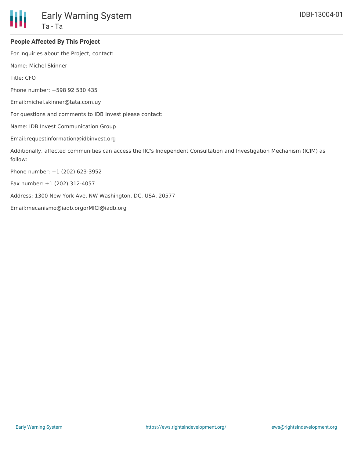

#### **People Affected By This Project**

For inquiries about the Project, contact:

Name: Michel Skinner

Title: CFO

Phone number: +598 92 530 435

Email:michel.skinner@tata.com.uy

For questions and comments to IDB Invest please contact:

Name: IDB Invest Communication Group

Email:requestinformation@idbinvest.org

Additionally, affected communities can access the IIC's Independent Consultation and Investigation Mechanism (ICIM) as follow:

Phone number: +1 (202) 623-3952

Fax number: +1 (202) 312-4057

Address: 1300 New York Ave. NW Washington, DC. USA. 20577

Email:mecanismo@iadb.orgorMICI@iadb.org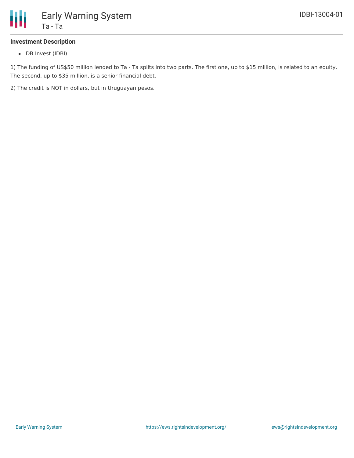

## **Investment Description**

• IDB Invest (IDBI)

1) The funding of US\$50 million lended to Ta - Ta splits into two parts. The first one, up to \$15 million, is related to an equity. The second, up to \$35 million, is a senior financial debt.

2) The credit is NOT in dollars, but in Uruguayan pesos.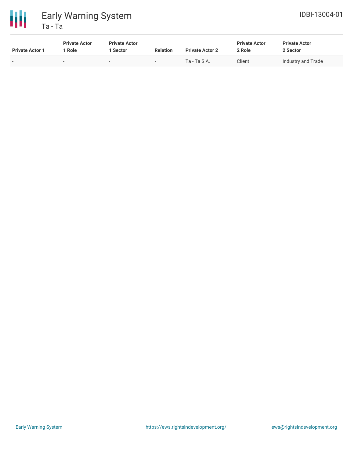



| <b>Private Actor 1</b> | <b>Private Actor</b><br>* Role | <b>Private Actor</b><br>  Sector | <b>Relation</b>          | <b>Private Actor 2</b> | <b>Private Actor</b><br>2 Role | <b>Private Actor</b><br>2 Sector |
|------------------------|--------------------------------|----------------------------------|--------------------------|------------------------|--------------------------------|----------------------------------|
| . .                    | $\overline{\phantom{0}}$       | $\overline{\phantom{0}}$         | $\overline{\phantom{0}}$ | Ta - Ta S.A.           | Client                         | Industry and Trade               |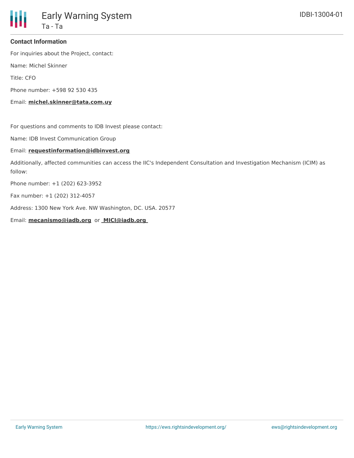

#### **Contact Information**

For inquiries about the Project, contact:

Name: Michel Skinner

Title: CFO

Phone number: +598 92 530 435

Email: **michel.skinner@tata.com.uy**

For questions and comments to IDB Invest please contact:

Name: IDB Invest Communication Group

#### Email: **requestinformation@idbinvest.org**

Additionally, affected communities can access the IIC's Independent Consultation and Investigation Mechanism (ICIM) as follow:

Phone number: +1 (202) 623-3952

Fax number: +1 (202) 312-4057

Address: 1300 New York Ave. NW Washington, DC. USA. 20577

Email: **mecanismo@iadb.org** or **MICI@iadb.org**